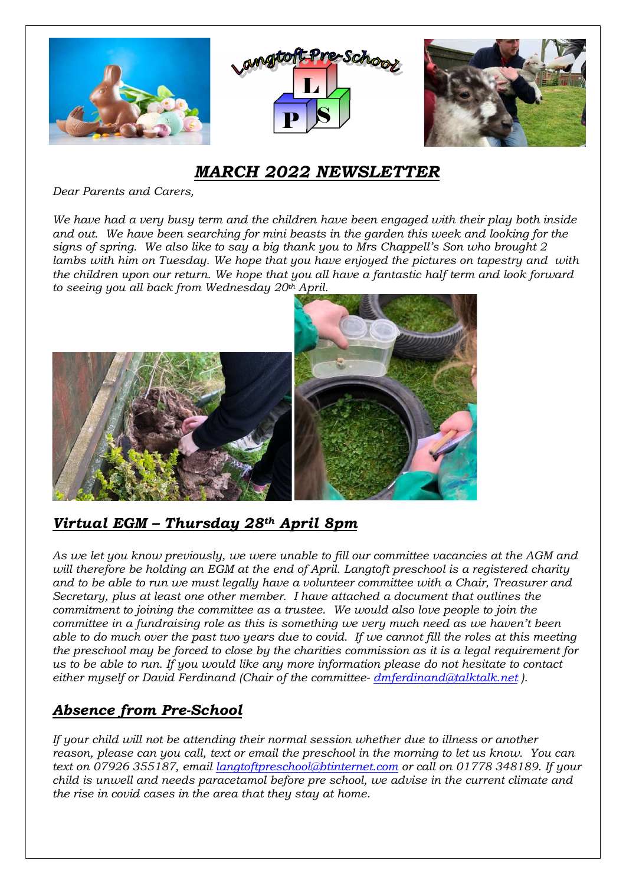

# MARCH 2022 NEWSLETTER

Dear Parents and Carers,

We have had a very busy term and the children have been engaged with their play both inside and out. We have been searching for mini beasts in the garden this week and looking for the signs of spring. We also like to say a big thank you to Mrs Chappell's Son who brought 2 lambs with him on Tuesday. We hope that you have enjoyed the pictures on tapestry and with the children upon our return. We hope that you all have a fantastic half term and look forward to seeing you all back from Wednesday  $20<sup>th</sup>$  April.



## Virtual EGM - Thursday 28th April 8pm

As we let you know previously, we were unable to fill our committee vacancies at the AGM and will therefore be holding an EGM at the end of April. Langtoft preschool is a registered charity and to be able to run we must legally have a volunteer committee with a Chair, Treasurer and Secretary, plus at least one other member. I have attached a document that outlines the commitment to joining the committee as a trustee. We would also love people to join the committee in a fundraising role as this is something we very much need as we haven't been able to do much over the past two years due to covid. If we cannot fill the roles at this meeting the preschool may be forced to close by the charities commission as it is a legal requirement for us to be able to run. If you would like any more information please do not hesitate to contact either myself or David Ferdinand (Chair of the committee- dmferdinand@talktalk.net).

## Absence from Pre-School

If your child will not be attending their normal session whether due to illness or another reason, please can you call, text or email the preschool in the morning to let us know. You can text on 07926 355187, email langtoftpreschool@btinternet.com or call on 01778 348189. If your child is unwell and needs paracetamol before pre school, we advise in the current climate and the rise in covid cases in the area that they stay at home.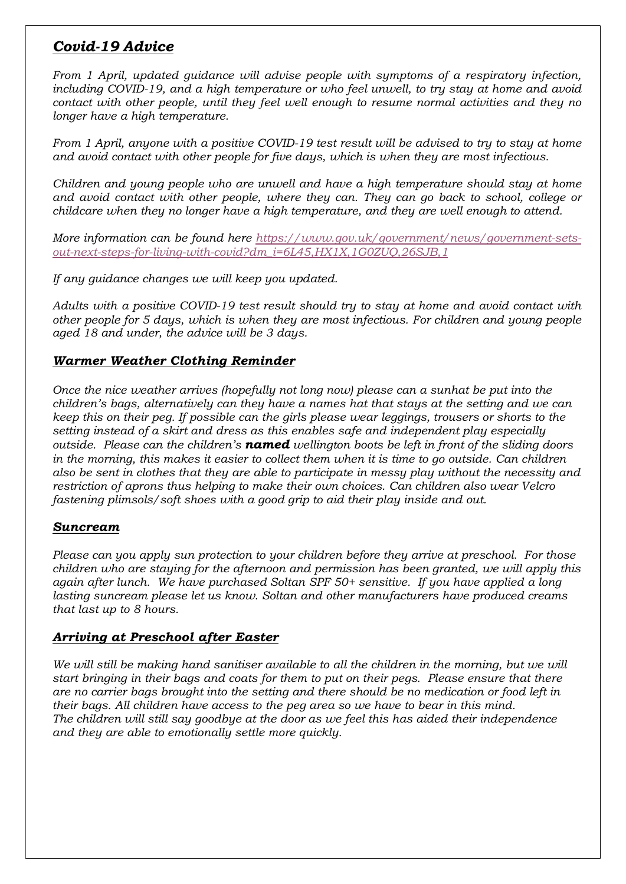### Covid-19 Advice

From 1 April, updated guidance will advise people with symptoms of a respiratory infection, including COVID-19, and a high temperature or who feel unwell, to try stay at home and avoid contact with other people, until they feel well enough to resume normal activities and they no longer have a high temperature.

From 1 April, anyone with a positive COVID-19 test result will be advised to try to stay at home and avoid contact with other people for five days, which is when they are most infectious.

Children and young people who are unwell and have a high temperature should stay at home and avoid contact with other people, where they can. They can go back to school, college or childcare when they no longer have a high temperature, and they are well enough to attend.

More information can be found here https://www.gov.uk/government/news/government-setsout-next-steps-for-living-with-covid?dm\_i=6L45,HX1X,1G0ZUQ,26SJB,1

If any guidance changes we will keep you updated.

Adults with a positive COVID-19 test result should try to stay at home and avoid contact with other people for 5 days, which is when they are most infectious. For children and young people aged 18 and under, the advice will be 3 days.

#### Warmer Weather Clothing Reminder

Once the nice weather arrives (hopefully not long now) please can a sunhat be put into the children's bags, alternatively can they have a names hat that stays at the setting and we can keep this on their peg. If possible can the girls please wear leggings, trousers or shorts to the setting instead of a skirt and dress as this enables safe and independent play especially outside. Please can the children's **named** wellington boots be left in front of the sliding doors in the morning, this makes it easier to collect them when it is time to go outside. Can children also be sent in clothes that they are able to participate in messy play without the necessity and restriction of aprons thus helping to make their own choices. Can children also wear Velcro fastening plimsols/soft shoes with a good grip to aid their play inside and out.

#### Suncream

Please can you apply sun protection to your children before they arrive at preschool. For those children who are staying for the afternoon and permission has been granted, we will apply this again after lunch. We have purchased Soltan SPF 50+ sensitive. If you have applied a long lasting suncream please let us know. Soltan and other manufacturers have produced creams that last up to 8 hours.

#### Arriving at Preschool after Easter

We will still be making hand sanitiser available to all the children in the morning, but we will start bringing in their bags and coats for them to put on their pegs. Please ensure that there are no carrier bags brought into the setting and there should be no medication or food left in their bags. All children have access to the peg area so we have to bear in this mind. The children will still say goodbye at the door as we feel this has aided their independence and they are able to emotionally settle more quickly.